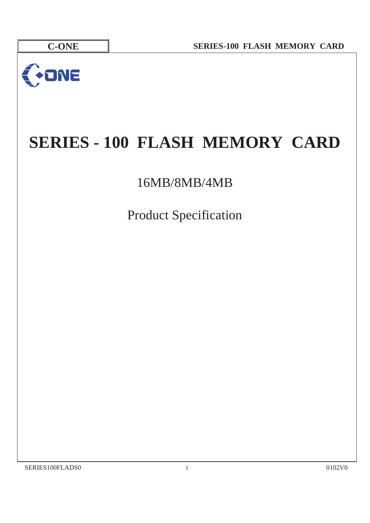

# **SERIES - 100 FLASH MEMORY CARD**

16MB/8MB/4MB

Product Specification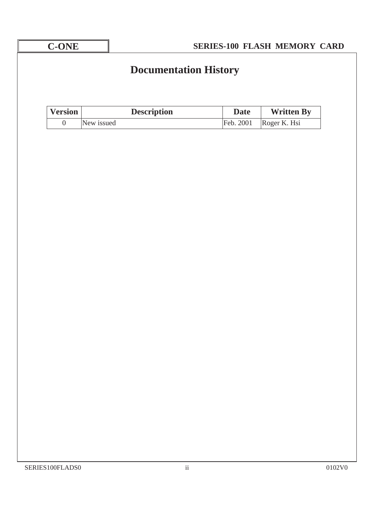| <b>C-ONE</b>     |            | <b>SERIES-100 FLASH MEMORY CARD</b> |             |                   |                   |  |  |  |  |
|------------------|------------|-------------------------------------|-------------|-------------------|-------------------|--|--|--|--|
|                  |            | <b>Documentation History</b>        |             |                   |                   |  |  |  |  |
| <b>Version</b>   |            | <b>Description</b>                  | <b>Date</b> | <b>Written By</b> |                   |  |  |  |  |
| $\boldsymbol{0}$ | New issued |                                     | Feb. 2001   | Roger K. Hsi      |                   |  |  |  |  |
|                  |            |                                     |             |                   |                   |  |  |  |  |
| SERIES100FLADS0  |            |                                     | $\rm ii$    |                   | $0102\mathrm{V0}$ |  |  |  |  |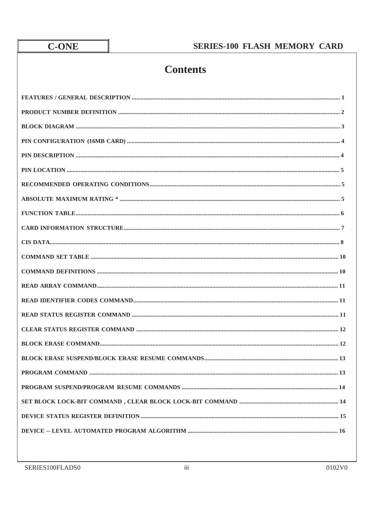# **Contents**

| $COMMAND SET TABLE 10$ |
|------------------------|
|                        |
|                        |
|                        |
|                        |
|                        |
|                        |
|                        |
|                        |
|                        |
|                        |
|                        |
|                        |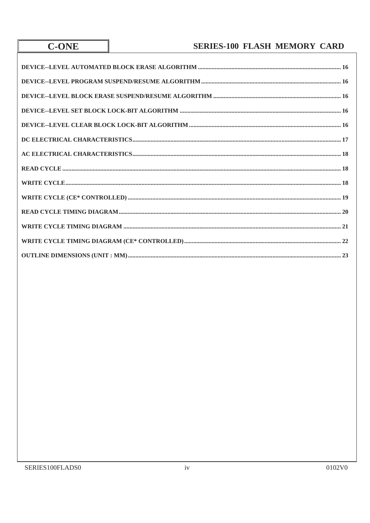**C-ONE**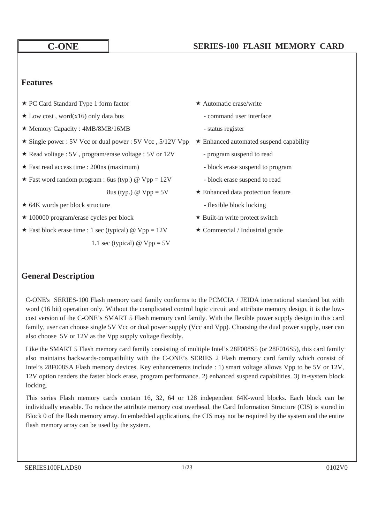### **Features**

- ★ PC Card Standard Type 1 form factor ★ Automatic erase/write
- $\star$  Low cost, word(x16) only data bus command user interface
- ★ Memory Capacity : 4MB/8MB/16MB status register
- \* Single power : 5V Vcc or dual power : 5V Vcc , 5/12V Vpp \* Enhanced automated suspend capability
- Read voltage : 5V, program/erase voltage : 5V or  $12V$  program suspend to read
- $\star$  Fast read access time : 200ns (maximum) block erase suspend to program
- $\star$  Fast word random program : 6us (typ.) @ Vpp = 12V block erase suspend to read

- ★ 64K words per block structure flexible block locking
- $\star$  100000 program/erase cycles per block  $\star$  Built-in write protect switch
- $\star$  Fast block erase time : 1 sec (typical) @ Vpp = 12V  $\star$  Commercial / Industrial grade 1.1 sec (typical)  $\omega$  Vpp = 5V
- -
	-
- -
	-
	-
- 8us (typ.)  $\textcircled{a}$  Vpp = 5V  $\star$  Enhanced data protection feature
	-
	-
	-

### **General Description**

C-ONE's SERIES-100 Flash memory card family conforms to the PCMCIA / JEIDA international standard but with word (16 bit) operation only. Without the complicated control logic circuit and attribute memory design, it is the lowcost version of the C-ONE's SMART 5 Flash memory card family. With the flexible power supply design in this card family, user can choose single 5V Vcc or dual power supply (Vcc and Vpp). Choosing the dual power supply, user can also choose 5V or 12V as the Vpp supply voltage flexibly.

Like the SMART 5 Flash memory card family consisting of multiple Intel's 28F008S5 (or 28F016S5), this card family also maintains backwards-compatibility with the C-ONE's SERIES 2 Flash memory card family which consist of Intel's 28F008SA Flash memory devices. Key enhancements include : 1) smart voltage allows Vpp to be 5V or 12V, 12V option renders the faster block erase, program performance. 2) enhanced suspend capabilities. 3) in-system block locking.

This series Flash memory cards contain 16, 32, 64 or 128 independent 64K-word blocks. Each block can be individually erasable. To reduce the attribute memory cost overhead, the Card Information Structure (CIS) is stored in Block 0 of the flash memory array. In embedded applications, the CIS may not be required by the system and the entire flash memory array can be used by the system.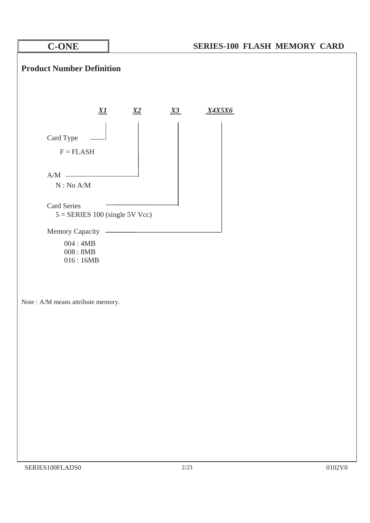

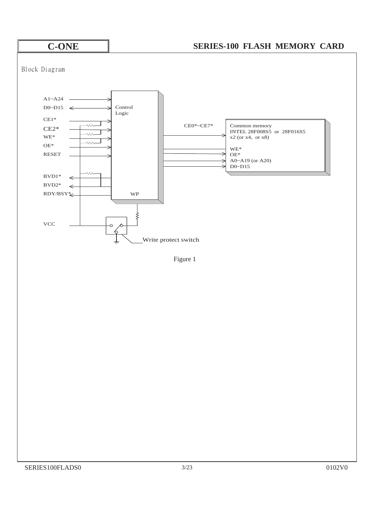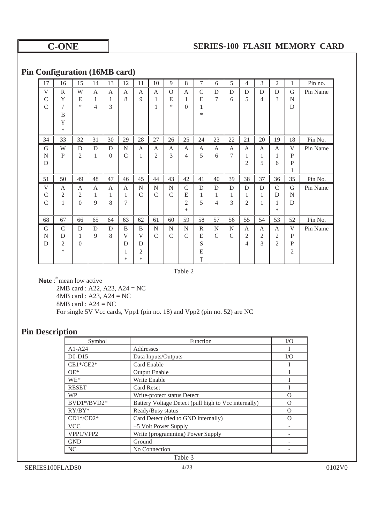### **Pin Configuration (16MB card)**

| 17            | 16             | 15             | 14 | 13       | 12            | 11           | 10             | 9             | 8              | 7            | 6             | 5             | 4              | 3              | $\overline{c}$ | 1  | Pin no.  |
|---------------|----------------|----------------|----|----------|---------------|--------------|----------------|---------------|----------------|--------------|---------------|---------------|----------------|----------------|----------------|----|----------|
| V             | $\mathbb{R}$   | W              | A  | A        | A             | A            | A              | $\Omega$      | A              | $\mathsf{C}$ | D             | D             | D              | D              | D              | G  | Pin Name |
| $\mathcal{C}$ | Y              | E              | 1  | 1        | 8             | 9            | 1              | E             | 1              | E            | 7             | 6             | 5              | 4              | 3              | N  |          |
| C             |                | *              | 4  | 3        |               |              | 1              | *             | $\Omega$       | 1            |               |               |                |                |                | D  |          |
|               | B              |                |    |          |               |              |                |               |                | *            |               |               |                |                |                |    |          |
|               | Y              |                |    |          |               |              |                |               |                |              |               |               |                |                |                |    |          |
|               | $\ast$         |                |    |          |               |              |                |               |                |              |               |               |                |                |                |    |          |
| 34            | 33             | 32             | 31 | 30       | 29            | 28           | 27             | 26            | 25             | 24           | 23            | 22            | 21             | 20             | 19             | 18 | Pin No.  |
| G             | W              | D              | D  | D        | N             | A            | A              | A             | A              | A            | A             | A             | A              | A              | A              | V  | Pin Name |
| N             | P              | $\overline{c}$ | 1  | $\theta$ | $\mathcal{C}$ | 1            | $\overline{2}$ | 3             | 4              | 5            | 6             | 7             | 1              | 1              | 1              | P  |          |
| D             |                |                |    |          |               |              |                |               |                |              |               |               | $\overline{2}$ | 5              | 6              | P  |          |
|               |                |                |    |          |               |              |                |               |                |              |               |               |                |                |                | 1  |          |
| 51            | 50             | 49             | 48 | 47       | 46            | 45           | 44             | 43            | 42             | 41           | 40            | 39            | 38             | 37             | 36             | 35 | Pin No.  |
| $\mathbf{V}$  | A              | A              | A  | A        | A             | $\mathbf N$  | N              | N             | $\mathsf{C}$   | D            | D             | D             | D              | D              | $\mathsf{C}$   | G  | Pin Name |
| C             | $\overline{c}$ | $\overline{2}$ | 1  | 1        | 1             | $\mathsf{C}$ | $\mathcal{C}$  | $\mathcal{C}$ | E              | 1            | 1             | 1             | 1              | 1              | D              | N  |          |
| $\mathcal{C}$ | 1              | $\Omega$       | 9  | 8        | 7             |              |                |               | $\overline{c}$ | 5            | 4             | 3             | $\overline{c}$ | 1              | 1              | D  |          |
|               |                |                |    |          |               |              |                |               | $\ast$         |              |               |               |                |                | $\ast$         |    |          |
| 68            | 67             | 66             | 65 | 64       | 63            | 62           | 61             | 60            | 59             | 58           | 57            | 56            | 55             | 54             | 53             | 52 | Pin No.  |
| G             | $\mathcal{C}$  | D              | D  | D        | B             | B            | N              | N             | N              | R            | N             | N             | A              | A              | A              | V  | Pin Name |
| N             | D              | 1              | 9  | 8        | V             | V            | $\mathsf{C}$   | $\mathcal{C}$ | $\mathcal{C}$  | E            | $\mathcal{C}$ | $\mathcal{C}$ | 2              | $\overline{c}$ | $\mathfrak{2}$ | P  |          |
| D             | 2              | $\Omega$       |    |          | D             | D            |                |               |                | S            |               |               | $\overline{4}$ | 3              | $\mathfrak{2}$ | P  |          |
|               | $\ast$         |                |    |          | 1             | 2            |                |               |                | E            |               |               |                |                |                | 2  |          |
|               |                |                |    |          | *             | *            |                |               |                | T            |               |               |                |                |                |    |          |

Table 2

**Note**: \* mean low active 2MB card : A22, A23, A24 = NC 4MB card : A23, A24 = NC 8MB card : A24 = NC For single 5V Vcc cards, Vpp1 (pin no. 18) and Vpp2 (pin no. 52) are NC

### **Pin Description**

| Symbol       | Function                                             | I/O |  |  |  |  |
|--------------|------------------------------------------------------|-----|--|--|--|--|
| $A1-A24$     | Addresses                                            |     |  |  |  |  |
| $D0-D15$     | Data Inputs/Outputs                                  | I/O |  |  |  |  |
| $CE1*/CE2*$  | Card Enable                                          |     |  |  |  |  |
| $OE*$        | <b>Output Enable</b>                                 |     |  |  |  |  |
| $WE^*$       | Write Enable                                         |     |  |  |  |  |
| <b>RESET</b> | Card Reset                                           |     |  |  |  |  |
| <b>WP</b>    | Write-protect status Detect                          |     |  |  |  |  |
| BVD1*/BVD2*  | Battery Voltage Detect (pull high to Vcc internally) |     |  |  |  |  |
| $RY/BY^*$    | Ready/Busy status                                    |     |  |  |  |  |
| $CD1*/CD2*$  | Card Detect (tied to GND internally)                 |     |  |  |  |  |
| <b>VCC</b>   | +5 Volt Power Supply                                 |     |  |  |  |  |
| VPP1/VPP2    | Write (programming) Power Supply                     |     |  |  |  |  |
| <b>GND</b>   | Ground                                               |     |  |  |  |  |
| NC           | No Connection                                        |     |  |  |  |  |
| Table 3      |                                                      |     |  |  |  |  |

SERIES100FLADS0 4/23 0102V0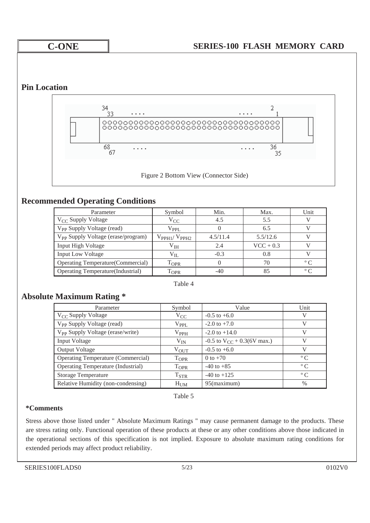### **Pin Location**



### **Recommended Operating Conditions**

| Parameter                                      | Symbol              | Min.     | Max.        | Unit           |
|------------------------------------------------|---------------------|----------|-------------|----------------|
| $V_{\rm CC}$ Supply Voltage                    | $V_{CC}$            | 4.5      | 5.5         |                |
| V <sub>pp</sub> Supply Voltage (read)          | $V_{\rm PPL}$       |          | 6.5         |                |
| V <sub>PP</sub> Supply Voltage (erase/program) | $V_{PPH1}/V_{PPH2}$ | 4.5/11.4 | 5.5/12.6    |                |
| Input High Voltage                             | $\rm{V_{IH}}$       | 2.4      | $VCC + 0.3$ |                |
| <b>Input Low Voltage</b>                       | $V_{IL}$            | $-0.3$   | 0.8         |                |
| Operating Temperature(Commercial)              | $T_{\rm OPR}$       |          | 70          | $\circ$ $\cap$ |
| Operating Temperature (Industrial)             | $\mathrm{T_{OPR}}$  | $-40$    | 85          | $\circ$ $\cap$ |

Table 4

### **Absolute Maximum Rating \***

| Parameter                                    | Symbol           | Value                                    | Unit              |
|----------------------------------------------|------------------|------------------------------------------|-------------------|
| $V_{CC}$ Supply Voltage                      | $V_{CC}$         | $-0.5$ to $+6.0$                         |                   |
| V <sub>PP</sub> Supply Voltage (read)        | $V_{\rm PPL}$    | $-2.0$ to $+7.0$                         |                   |
| V <sub>PP</sub> Supply Voltage (erase/write) | $V_{PPH}$        | $-2.0$ to $+14.0$                        |                   |
| Input Voltage                                | $V_{IN}$         | $-0.5$ to V <sub>CC</sub> + 0.3(6V max.) |                   |
| Output Voltage                               | $V_{\rm OUT}$    | $-0.5$ to $+6.0$                         |                   |
| <b>Operating Temperature (Commercial)</b>    | $T_{OPR}$        | 0 to $+70$                               | $^{\circ}$ $\sim$ |
| Operating Temperature (Industrial)           | T <sub>OPR</sub> | $-40$ to $+85$                           | $^{\circ}$ $\sim$ |
| <b>Storage Temperature</b>                   | $T_{STR}$        | $-40$ to $+125$                          | $^{\circ}$ $\cap$ |
| Relative Humidity (non-condensing)           | $H_{UM}$         | 95(maximum)                              | $\%$              |

Table 5

### **\*Comments**

Stress above those listed under " Absolute Maximum Ratings " may cause permanent damage to the products. These are stress rating only. Functional operation of these products at these or any other conditions above those indicated in the operational sections of this specification is not implied. Exposure to absolute maximum rating conditions for extended periods may affect product reliability.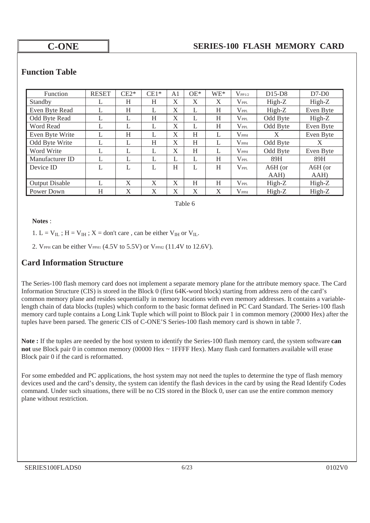### **Function Table**

| <b>Function</b>       | <b>RESET</b> | $CE2*$ | $CE1*$ | A <sub>1</sub> | $OE*$ | $WE^*$ | $V_{PP1/2}$       | $D15-D8$ | $D7-D0$   |
|-----------------------|--------------|--------|--------|----------------|-------|--------|-------------------|----------|-----------|
| Standby               |              | H      | H      | X              | X     | X      | $\rm V_{\rm PPL}$ | $High-Z$ | $High-Z$  |
| Even Byte Read        | L            | Η      | L      | X              | L     | H      | $\rm V_{PPL}$     | $High-Z$ | Even Byte |
| Odd Byte Read         |              |        | H      | X              |       | H      | $\rm V_{\rm PPL}$ | Odd Byte | $High-Z$  |
| Word Read             | L            | L      | L      | X              | L     | H      | $\rm V_{\rm PPL}$ | Odd Byte | Even Byte |
| Even Byte Write       |              | H      |        | X              | H     | L      | $\rm V_{PPH}$     | X        | Even Byte |
| Odd Byte Write        | L            | L      | Η      | X              | H     | L      | $\rm V_{PPH}$     | Odd Byte | X         |
| Word Write            | L            | L      | L      | X              | H     | L      | $\rm V_{PPH}$     | Odd Byte | Even Byte |
| Manufacturer ID       |              | L      | L      |                | L     | H      | $\rm V_{\rm PPL}$ | 89H      | 89H       |
| Device ID             | L            | L      | L      | H              | L     | H      | $V_{\rm PPL}$     | A6H (or  | A6H (or   |
|                       |              |        |        |                |       |        |                   | AAH)     | AAH)      |
| <b>Output Disable</b> |              | X      | X      | X              | H     | H      | $\rm V_{\rm PPL}$ | $High-Z$ | High-Z    |
| Power Down            | H            | X      | X      | X              | X     | X      | $\rm V_{PPH}$     | $High-Z$ | High-Z    |

Table 6

### **Notes** :

1. L =  $V_{IL}$ ; H =  $V_{IH}$ ; X = don't care, can be either  $V_{IH}$  or  $V_{IL}$ .

2. VPPH can be either VPPH1  $(4.5V)$  to  $5.5V$ ) or VPPH2  $(11.4V)$  to  $12.6V$ ).

### **Card Information Structure**

The Series-100 flash memory card does not implement a separate memory plane for the attribute memory space. The Card Information Structure (CIS) is stored in the Block 0 (first 64K-word block) starting from address zero of the card's common memory plane and resides sequentially in memory locations with even memory addresses. It contains a variablelength chain of data blocks (tuples) which conform to the basic format defined in PC Card Standard. The Series-100 flash memory card tuple contains a Long Link Tuple which will point to Block pair 1 in common memory (20000 Hex) after the tuples have been parsed. The generic CIS of C-ONE'S Series-100 flash memory card is shown in table 7.

**Note :** If the tuples are needed by the host system to identify the Series-100 flash memory card, the system software **can not** use Block pair 0 in common memory (00000 Hex ~ 1FFFF Hex). Many flash card formatters available will erase Block pair 0 if the card is reformatted.

For some embedded and PC applications, the host system may not need the tuples to determine the type of flash memory devices used and the card's density, the system can identify the flash devices in the card by using the Read Identify Codes command. Under such situations, there will be no CIS stored in the Block 0, user can use the entire common memory plane without restriction.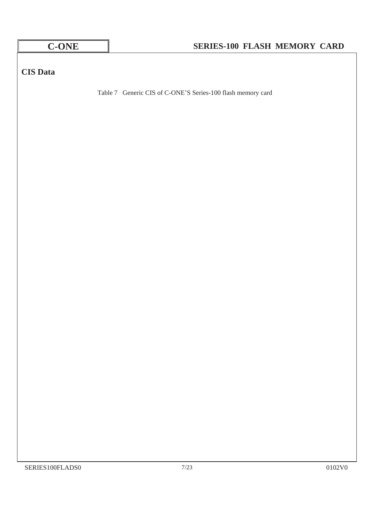| <b>C-ONE</b>    | SERIES-100 FLASH MEMORY CARD                                |                   |
|-----------------|-------------------------------------------------------------|-------------------|
|                 |                                                             |                   |
| <b>CIS</b> Data |                                                             |                   |
|                 | Table 7 Generic CIS of C-ONE'S Series-100 flash memory card |                   |
|                 |                                                             |                   |
|                 |                                                             |                   |
|                 |                                                             |                   |
|                 |                                                             |                   |
|                 |                                                             |                   |
|                 |                                                             |                   |
|                 |                                                             |                   |
|                 |                                                             |                   |
|                 |                                                             |                   |
|                 |                                                             |                   |
|                 |                                                             |                   |
|                 |                                                             |                   |
|                 |                                                             |                   |
|                 |                                                             |                   |
|                 |                                                             |                   |
|                 |                                                             |                   |
|                 |                                                             |                   |
|                 |                                                             |                   |
|                 |                                                             |                   |
|                 |                                                             |                   |
| SERIES100FLADS0 | $7/23$                                                      | $0102\mathrm{V0}$ |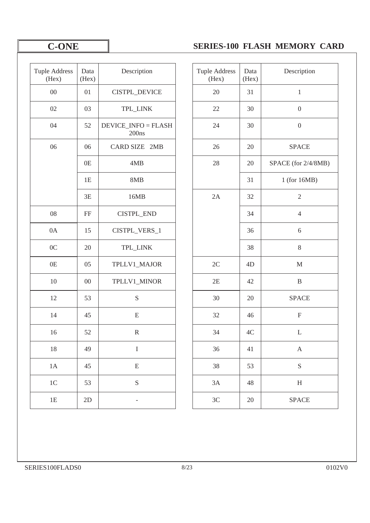| <b>Tuple Address</b><br>(Hex) | Data<br>(Hex) | Description                         | <b>Tuple Address</b><br>(Hex) | Data<br>(Hex) | Descriptic                |
|-------------------------------|---------------|-------------------------------------|-------------------------------|---------------|---------------------------|
| $00\,$                        | 01            | CISTPL_DEVICE                       | $20\,$                        | 31            | $1\,$                     |
| 02                            | 03            | TPL_LINK                            | $22\,$                        | 30            | $\boldsymbol{0}$          |
| 04                            | 52            | <b>DEVICE_INFO = FLASH</b><br>200ns | 24                            | 30            | $\boldsymbol{0}$          |
| 06                            | 06            | CARD SIZE 2MB                       | 26                            | 20            | <b>SPACE</b>              |
|                               | 0E            | 4MB                                 | 28                            | 20            | SPACE (for 2/4            |
|                               | 1E            | 8MB                                 |                               | 31            | 1 (for 16M                |
|                               | 3E            | 16MB                                | 2A                            | 32            | $\sqrt{2}$                |
| ${\color{red}08}$             | FF            | CISTPL_END                          |                               | 34            | $\overline{4}$            |
| 0A                            | 15            | CISTPL_VERS_1                       |                               | 36            | $\sqrt{6}$                |
| 0 <sub>C</sub>                | 20            | TPL_LINK                            |                               | 38            | $8\,$                     |
| 0E                            | 05            | TPLLV1_MAJOR                        | 2C                            | 4D            | $\mathbf M$               |
| 10                            | $00\,$        | TPLLV1_MINOR                        | 2E                            | 42            | $\, {\bf B}$              |
| 12                            | 53            | S                                   | 30                            | 20            | <b>SPACE</b>              |
| 14                            | 45            | ${\bf E}$                           | 32                            | 46            | $\boldsymbol{\mathrm{F}}$ |
| 16                            | 52            | ${\bf R}$                           | 34                            | $4\mathrm{C}$ | $\mathbf L$               |
| $18\,$                        | 49            | $\bf I$                             | 36                            | 41            | $\mathbf{A}$              |
| 1A                            | 45            | ${\bf E}$                           | 38                            | 53            | ${\bf S}$                 |
| $1C$                          | 53            | $\mathbf S$                         | 3A                            | 48            | $\boldsymbol{\mathrm{H}}$ |
| 1E                            | 2D            | $\qquad \qquad -$                   | $3\mathrm{C}$                 | 20            | <b>SPACE</b>              |
|                               |               |                                     |                               |               |                           |

| Description<br><b>SPACE</b><br>SPACE (for 2/4/8MB)<br>1 (for 16MB) |
|--------------------------------------------------------------------|
|                                                                    |
|                                                                    |
|                                                                    |
|                                                                    |
|                                                                    |
|                                                                    |
|                                                                    |
|                                                                    |
|                                                                    |
|                                                                    |
|                                                                    |
|                                                                    |
|                                                                    |
| <b>SPACE</b>                                                       |
|                                                                    |
|                                                                    |
|                                                                    |
|                                                                    |
|                                                                    |
| <b>SPACE</b>                                                       |
|                                                                    |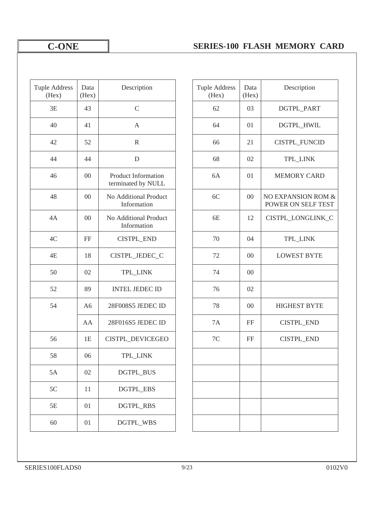| <b>Tuple Address</b><br>(Hex) | Data<br>(Hex)  | Description                               | <b>Tuple Address</b><br>(Hex) | Data<br>(Hex) | Description                            |
|-------------------------------|----------------|-------------------------------------------|-------------------------------|---------------|----------------------------------------|
| 3E                            | 43             | $\mathsf C$                               | 62                            | 03            | DGTPL_PAR                              |
| 40                            | 41             | $\mathbf{A}$                              | 64                            | 01            | DGTPL_HWI                              |
| 42                            | 52             | $\mathbb{R}$                              | 66                            | 21            | CISTPL_FUNC                            |
| 44                            | 44             | D                                         | 68                            | 02            | TPL_LINK                               |
| 46                            | $00\,$         | Product Information<br>terminated by NULL | 6A                            | 01            | <b>MEMORY CA</b>                       |
| 48                            | $00\,$         | No Additional Product<br>Information      | 6C                            | $00\,$        | <b>NO EXPANSION F</b><br>POWER ON SELF |
| 4A                            | $00\,$         | No Additional Product<br>Information      | 6E                            | 12            | CISTPL_LONGLI                          |
| 4C                            | FF             | CISTPL_END                                | 70                            | 04            | TPL_LINK                               |
| 4E                            | 18             | CISTPL_JEDEC_C                            | 72                            | $00\,$        | <b>LOWEST BYT</b>                      |
| 50                            | 02             | TPL_LINK                                  | 74                            | $00\,$        |                                        |
| 52                            | 89             | <b>INTEL JEDEC ID</b>                     | 76                            | 02            |                                        |
| 54                            | A <sub>6</sub> | 28F008S5 JEDEC ID                         | 78                            | $00\,$        | <b>HIGHEST BY</b>                      |
|                               | AA             | 28F016S5 JEDEC ID                         | 7A                            | FF            | CISTPL_ENI                             |
| 56                            | 1E             | CISTPL_DEVICEGEO                          | $7\mathrm{C}$                 | FF            | CISTPL_ENI                             |
| 58                            | 06             | TPL_LINK                                  |                               |               |                                        |
| 5A                            | 02             | DGTPL_BUS                                 |                               |               |                                        |
| $5C$                          | 11             | DGTPL_EBS                                 |                               |               |                                        |
| 5E                            | 01             | <b>DGTPL_RBS</b>                          |                               |               |                                        |
| 60                            | 01             | DGTPL_WBS                                 |                               |               |                                        |

| Address<br>Hex) | Data<br>(Hex)  | Description                               | <b>Tuple Address</b><br>(Hex) | Data<br>(Hex) | Description                              |
|-----------------|----------------|-------------------------------------------|-------------------------------|---------------|------------------------------------------|
| 3E              | 43             | $\mathsf C$                               | 62                            | 03            | DGTPL_PART                               |
| 40              | 41             | A                                         | 64                            | 01            | DGTPL_HWIL                               |
| 42              | 52             | $\mathbb{R}$                              | 66                            | 21            | CISTPL_FUNCID                            |
| 44              | 44             | $\mathbf D$                               | 68                            | 02            | TPL_LINK                                 |
| 46              | $00\,$         | Product Information<br>terminated by NULL | 6A                            | 01            | <b>MEMORY CARD</b>                       |
| 48              | $00\,$         | No Additional Product<br>Information      | 6C                            | $00\,$        | NO EXPANSION ROM &<br>POWER ON SELF TEST |
| 4A              | 00             | No Additional Product<br>Information      | 6E                            | 12            | CISTPL_LONGLINK_C                        |
| 4C              | FF             | <b>CISTPL_END</b>                         | 70                            | 04            | TPL_LINK                                 |
| 4E              | 18             | CISTPL_JEDEC_C                            | 72                            | $00\,$        | <b>LOWEST BYTE</b>                       |
| 50              | 02             | TPL_LINK                                  | 74                            | $00\,$        |                                          |
| 52              | 89             | <b>INTEL JEDEC ID</b>                     | 76                            | 02            |                                          |
| 54              | A <sub>6</sub> | 28F008S5 JEDEC ID                         | 78                            | 00            | <b>HIGHEST BYTE</b>                      |
|                 | AA             | 28F016S5 JEDEC ID                         | 7A                            | FF            | CISTPL_END                               |
| 56              | 1E             | CISTPL_DEVICEGEO                          | $7\mathrm{C}$                 | FF            | CISTPL_END                               |
| 58              | 06             | TPL_LINK                                  |                               |               |                                          |
| 5A              | 02             | DGTPL_BUS                                 |                               |               |                                          |
| 5C              | 11             | <b>DGTPL_EBS</b>                          |                               |               |                                          |
| 5Ε              | 01             | <b>DGTPL_RBS</b>                          |                               |               |                                          |
| 60              | 01             | DGTPL_WBS                                 |                               |               |                                          |
|                 |                |                                           |                               |               |                                          |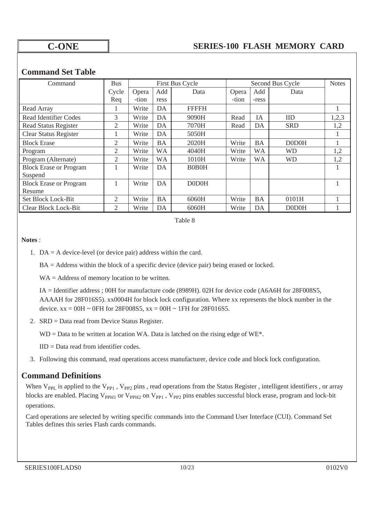### **Command Set Table**

| Command                       | <b>Bus</b>     |       |           | First Bus Cycle |       | <b>Notes</b> |            |       |
|-------------------------------|----------------|-------|-----------|-----------------|-------|--------------|------------|-------|
|                               | Cycle          | Opera | Add       | Data            | Opera | Add          | Data       |       |
|                               | Req            | -tion | ress      |                 | -tion | -ress        |            |       |
| Read Array                    |                | Write | DA        | <b>FFFFH</b>    |       |              |            | 1     |
| <b>Read Identifier Codes</b>  | 3              | Write | DA        | 9090H           | Read  | IA           | <b>IID</b> | 1,2,3 |
| <b>Read Status Register</b>   | $\mathfrak{2}$ | Write | DA        | 7070H           | Read  | DA           | <b>SRD</b> | 1,2   |
| <b>Clear Status Register</b>  |                | Write | DA        | 5050H           |       |              |            | 1     |
| <b>Block Erase</b>            | 2              | Write | BA        | 2020H           | Write | BA           | D0D0H      |       |
| Program                       | 2              | Write | <b>WA</b> | 4040H           | Write | <b>WA</b>    | <b>WD</b>  | 1,2   |
| Program (Alternate)           | 2              | Write | <b>WA</b> | 1010H           | Write | <b>WA</b>    | <b>WD</b>  | 1,2   |
| <b>Block Erase or Program</b> |                | Write | DA        | <b>B0B0H</b>    |       |              |            |       |
| Suspend                       |                |       |           |                 |       |              |            |       |
| <b>Block Erase or Program</b> |                | Write | DA        | D0D0H           |       |              |            |       |
| Resume                        |                |       |           |                 |       |              |            |       |
| Set Block Lock-Bit            | 2              | Write | BA        | 6060H           | Write | BA           | 0101H      |       |
| Clear Block Lock-Bit          | 2              | Write | DA        | 6060H           | Write | DA           | D0D0H      |       |

Table 8

### **Notes** :

1. DA = A device-level (or device pair) address within the card.

BA = Address within the block of a specific device (device pair) being erased or locked.

WA = Address of memory location to be written.

 IA = Identifier address ; 00H for manufacture code (8989H). 02H for device code (A6A6H for 28F008S5, AAAAH for 28F016S5). xx0004H for block lock configuration. Where xx represents the block number in the device.  $xx = 00H \sim 0FH$  for 28F008S5,  $xx = 00H \sim 1FH$  for 28F016S5.

2. SRD = Data read from Device Status Register.

 $WD = Data$  to be written at location WA. Data is latched on the rising edge of WE\*.

IID = Data read from identifier codes.

3. Following this command, read operations access manufacturer, device code and block lock configuration.

### **Command Definitions**

When  $V_{PPL}$  is applied to the  $V_{PP1}$  ,  $V_{PP2}$  pins , read operations from the Status Register , intelligent identifiers , or array blocks are enabled. Placing V<sub>PPH1</sub> or V<sub>PPH2</sub> on V<sub>PP1</sub>, V<sub>PP2</sub> pins enables successful block erase, program and lock-bit operations.

Card operations are selected by writing specific commands into the Command User Interface (CUI). Command Set Tables defines this series Flash cards commands.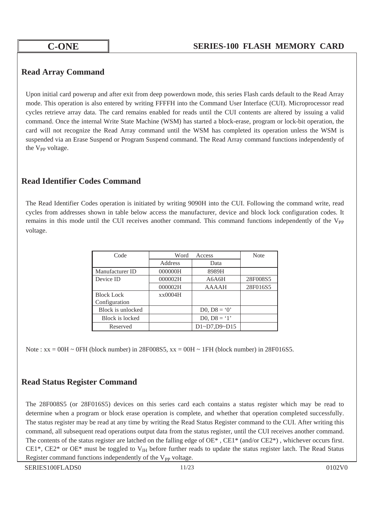### **Read Array Command**

Upon initial card powerup and after exit from deep powerdown mode, this series Flash cards default to the Read Array mode. This operation is also entered by writing FFFFH into the Command User Interface (CUI). Microprocessor read cycles retrieve array data. The card remains enabled for reads until the CUI contents are altered by issuing a valid command. Once the internal Write State Machine (WSM) has started a block-erase, program or lock-bit operation, the card will not recognize the Read Array command until the WSM has completed its operation unless the WSM is suspended via an Erase Suspend or Program Suspend command. The Read Array command functions independently of the V<sub>PP</sub> voltage.

### **Read Identifier Codes Command**

The Read Identifier Codes operation is initiated by writing 9090H into the CUI. Following the command write, read cycles from addresses shown in table below access the manufacturer, device and block lock configuration codes. It remains in this mode until the CUI receives another command. This command functions independently of the V<sub>PP</sub> voltage.

| Code              | Word<br>Access |                                       | <b>Note</b> |
|-------------------|----------------|---------------------------------------|-------------|
|                   | Address        | Data                                  |             |
| Manufacturer ID   | 000000H        | 8989H                                 |             |
| Device ID         | 000002H        | A6A6H                                 | 28F008S5    |
|                   | 000002H        | <b>AAAAH</b>                          | 28F016S5    |
| <b>Block Lock</b> | xx0004H        |                                       |             |
| Configuration     |                |                                       |             |
| Block is unlocked |                | D0, $D8 = '0'$                        |             |
| Block is locked   |                | D <sub>0</sub> , D <sub>8</sub> = '1' |             |
| Reserved          |                | D1~D7,D9~D15                          |             |

Note :  $xx = 00H \sim 0FH$  (block number) in 28F008S5,  $xx = 00H \sim 1FH$  (block number) in 28F016S5.

# **Read Status Register Command**

The 28F008S5 (or 28F016S5) devices on this series card each contains a status register which may be read to determine when a program or block erase operation is complete, and whether that operation completed successfully. The status register may be read at any time by writing the Read Status Register command to the CUI. After writing this command, all subsequent read operations output data from the status register, until the CUI receives another command. The contents of the status register are latched on the falling edge of  $OE^*$ ,  $CE1^*$  (and/or  $CE2^*$ ), whichever occurs first. CE1\*, CE2\* or OE\* must be toggled to  $V<sub>IH</sub>$  before further reads to update the status register latch. The Read Status Register command functions independently of the  $V_{PP}$  voltage.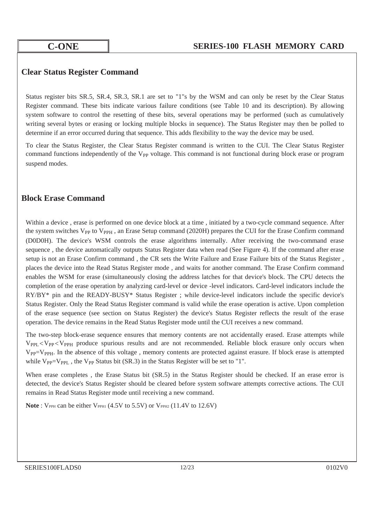### **Clear Status Register Command**

Status register bits SR.5, SR.4, SR.3, SR.1 are set to "1"s by the WSM and can only be reset by the Clear Status Register command. These bits indicate various failure conditions (see Table 10 and its description). By allowing system software to control the resetting of these bits, several operations may be performed (such as cumulatively writing several bytes or erasing or locking multiple blocks in sequence). The Status Register may then be polled to determine if an error occurred during that sequence. This adds flexibility to the way the device may be used.

To clear the Status Register, the Clear Status Register command is written to the CUI. The Clear Status Register command functions independently of the V<sub>PP</sub> voltage. This command is not functional during block erase or program suspend modes.

### **Block Erase Command**

Within a device, erase is performed on one device block at a time, initiated by a two-cycle command sequence. After the system switches  $V_{PP}$  to  $V_{PPH}$ , an Erase Setup command (2020H) prepares the CUI for the Erase Confirm command (D0D0H). The device's WSM controls the erase algorithms internally. After receiving the two-command erase sequence , the device automatically outputs Status Register data when read (See Figure 4). If the command after erase setup is not an Erase Confirm command , the CR sets the Write Failure and Erase Failure bits of the Status Register , places the device into the Read Status Register mode , and waits for another command. The Erase Confirm command enables the WSM for erase (simultaneously closing the address latches for that device's block. The CPU detects the completion of the erase operation by analyzing card-level or device -level indicators. Card-level indicators include the RY/BY\* pin and the READY-BUSY\* Status Register ; while device-level indicators include the specific device's Status Register. Only the Read Status Register command is valid while the erase operation is active. Upon completion of the erase sequence (see section on Status Register) the device's Status Register reflects the result of the erase operation. The device remains in the Read Status Register mode until the CUI receives a new command.

The two-step block-erase sequence ensures that memory contents are not accidentally erased. Erase attempts while  $V_{\text{PPI}} < V_{\text{PPH}}$  produce spurious results and are not recommended. Reliable block erasure only occurs when V<sub>PP</sub>=V<sub>PPH</sub>. In the absence of this voltage, memory contents are protected against erasure. If block erase is attempted while  $V_{PP}=V_{PPL}$ , the  $V_{PP}$  Status bit (SR.3) in the Status Register will be set to "1".

When erase completes, the Erase Status bit (SR.5) in the Status Register should be checked. If an erase error is detected, the device's Status Register should be cleared before system software attempts corrective actions. The CUI remains in Read Status Register mode until receiving a new command.

**Note** :  $V_{PPH}$  can be either  $V_{PPH1}$  (4.5V to 5.5V) or  $V_{PPH2}$  (11.4V to 12.6V)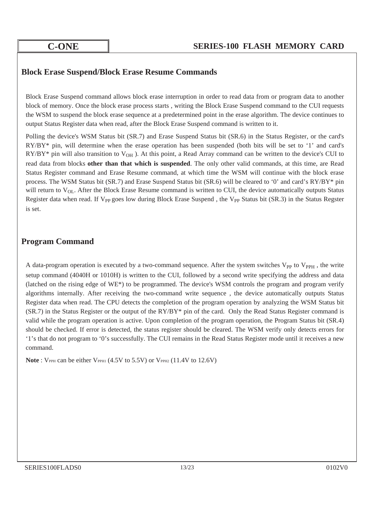### **Block Erase Suspend/Block Erase Resume Commands**

Block Erase Suspend command allows block erase interruption in order to read data from or program data to another block of memory. Once the block erase process starts , writing the Block Erase Suspend command to the CUI requests the WSM to suspend the block erase sequence at a predetermined point in the erase algorithm. The device continues to output Status Register data when read, after the Block Erase Suspend command is written to it.

Polling the device's WSM Status bit (SR.7) and Erase Suspend Status bit (SR.6) in the Status Register, or the card's RY/BY\* pin, will determine when the erase operation has been suspended (both bits will be set to '1' and card's  $RY/BY^*$  pin will also transition to  $V_{OH}$ ). At this point, a Read Array command can be written to the device's CUI to read data from blocks **other than that which is suspended**. The only other valid commands, at this time, are Read Status Register command and Erase Resume command, at which time the WSM will continue with the block erase process. The WSM Status bit (SR.7) and Erase Suspend Status bit (SR.6) will be cleared to '0' and card's RY/BY\* pin will return to  $V_{OL}$ . After the Block Erase Resume command is written to CUI, the device automatically outputs Status Register data when read. If V<sub>PP</sub> goes low during Block Erase Suspend, the V<sub>PP</sub> Status bit (SR.3) in the Status Regster is set.

### **Program Command**

A data-program operation is executed by a two-command sequence. After the system switches V<sub>PP</sub> to V<sub>PPH</sub>, the write setup command (4040H or 1010H) is written to the CUI, followed by a second write specifying the address and data (latched on the rising edge of WE\*) to be programmed. The device's WSM controls the program and program verify algorithms internally. After receiving the two-command write sequence , the device automatically outputs Status Register data when read. The CPU detects the completion of the program operation by analyzing the WSM Status bit (SR.7) in the Status Register or the output of the RY/BY\* pin of the card. Only the Read Status Register command is valid while the program operation is active. Upon completion of the program operation, the Program Status bit (SR.4) should be checked. If error is detected, the status register should be cleared. The WSM verify only detects errors for '1's that do not program to '0's successfully. The CUI remains in the Read Status Register mode until it receives a new command.

Note: VPPH can be either VPPH1 (4.5V to 5.5V) or VPPH2 (11.4V to 12.6V)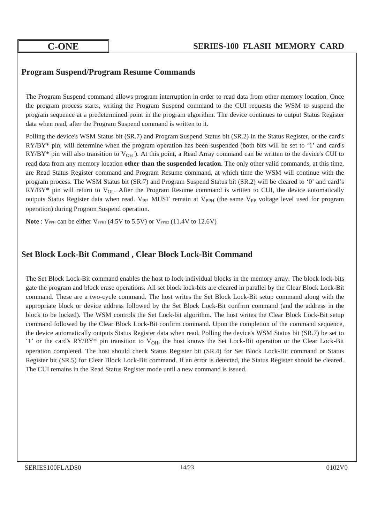### **Program Suspend/Program Resume Commands**

The Program Suspend command allows program interruption in order to read data from other memory location. Once the program process starts, writing the Program Suspend command to the CUI requests the WSM to suspend the program sequence at a predetermined point in the program algorithm. The device continues to output Status Register data when read, after the Program Suspend command is written to it.

Polling the device's WSM Status bit (SR.7) and Program Suspend Status bit (SR.2) in the Status Register, or the card's RY/BY\* pin, will determine when the program operation has been suspended (both bits will be set to '1' and card's  $RY/BY^*$  pin will also transition to  $V_{OH}$ ). At this point, a Read Array command can be written to the device's CUI to read data from any memory location **other than the suspended location**. The only other valid commands, at this time, are Read Status Register command and Program Resume command, at which time the WSM will continue with the program process. The WSM Status bit (SR.7) and Program Suspend Status bit (SR.2) will be cleared to '0' and card's  $RY/BY^*$  pin will return to  $V_{OL}$ . After the Program Resume command is written to CUI, the device automatically outputs Status Register data when read. V<sub>PP</sub> MUST remain at V<sub>PPH</sub> (the same V<sub>PP</sub> voltage level used for program operation) during Program Suspend operation.

**Note** : VPPH can be either VPPH1 (4.5V to 5.5V) or VPPH2 (11.4V to 12.6V)

### **Set Block Lock-Bit Command , Clear Block Lock-Bit Command**

The Set Block Lock-Bit command enables the host to lock individual blocks in the memory array. The block lock-bits gate the program and block erase operations. All set block lock-bits are cleared in parallel by the Clear Block Lock-Bit command. These are a two-cycle command. The host writes the Set Block Lock-Bit setup command along with the appropriate block or device address followed by the Set Block Lock-Bit confirm command (and the address in the block to be locked). The WSM controls the Set Lock-bit algorithm. The host writes the Clear Block Lock-Bit setup command followed by the Clear Block Lock-Bit confirm command. Upon the completion of the command sequence, the device automatically outputs Status Register data when read. Polling the device's WSM Status bit (SR.7) be set to '1' or the card's RY/BY\* pin transition to V<sub>OH</sub>, the host knows the Set Lock-Bit operation or the Clear Lock-Bit operation completed. The host should check Status Register bit (SR.4) for Set Block Lock-Bit command or Status Register bit (SR.5) for Clear Block Lock-Bit command. If an error is detected, the Status Register should be cleared. The CUI remains in the Read Status Register mode until a new command is issued.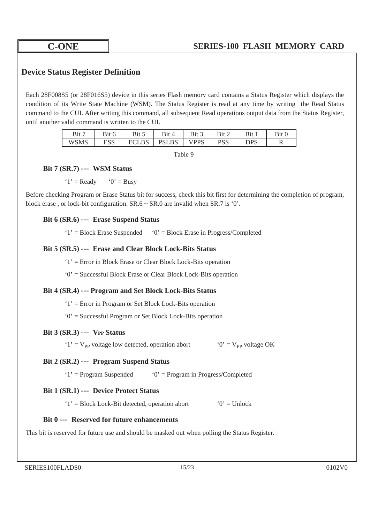### **Device Status Register Definition**

Each 28F008S5 (or 28F016S5) device in this series Flash memory card contains a Status Register which displays the condition of its Write State Machine (WSM). The Status Register is read at any time by writing the Read Status command to the CUI. After writing this command, all subsequent Read operations output data from the Status Register, until another valid command is written to the CUI.

| D:47        |            | ت با 11 * | Bit<br>$\Delta$  | B1t                                         |    | Bit |   |
|-------------|------------|-----------|------------------|---------------------------------------------|----|-----|---|
| <b>WSMS</b> | raa<br>ലാ∪ | تتطبطه    | <b>LBS</b><br>DC | <b>DDC</b><br>$\overline{1}$ $\overline{2}$ | ນມ | סמר | V |

Table 9

### **Bit 7 (SR.7) ---**!**WSM Status**!

 $'1' =$ Ready  $'0' =$ Busy

Before checking Program or Erase Status bit for success, check this bit first for determining the completion of program, block erase, or lock-bit configuration.  $SR.6 \sim SR.0$  are invalid when  $SR.7$  is '0'.

### **Bit 6 (SR.6) ---**!**Erase Suspend Status**!

 $'1'$  = Block Erase Suspended  $'0'$  = Block Erase in Progress/Completed

### **Bit 5 (SR.5) ---**!**Erase and Clear Block Lock-Bits Status**!

'1' = Error in Block Erase or Clear Block Lock-Bits operation

'0' = Successful Block Erase or Clear Block Lock-Bits operation

### **Bit 4 (SR.4) --- Program and Set Block Lock-Bits Status**!

'1' = Error in Program or Set Block Lock-Bits operation

'0' = Successful Program or Set Block Lock-Bits operation

### **Bit 3 (SR.3) --- VPP Status**

'1' =  $V_{\text{pp}}$  voltage low detected, operation abort '0' =  $V_{\text{pp}}$  voltage OK

### **Bit 2 (SR.2) ---**!**Program Suspend Status**!

 $'1'$  = Program Suspended  $'0'$  = Program in Progress/Completed

### **Bit 1 (SR.1) ---**!**Device Protect Status**!

'1' = Block Lock-Bit detected, operation abort '0' = Unlock

### **Bit 0 ---**!**Reserved for future enhancements**!

This bit is reserved for future use and should be masked out when polling the Status Register.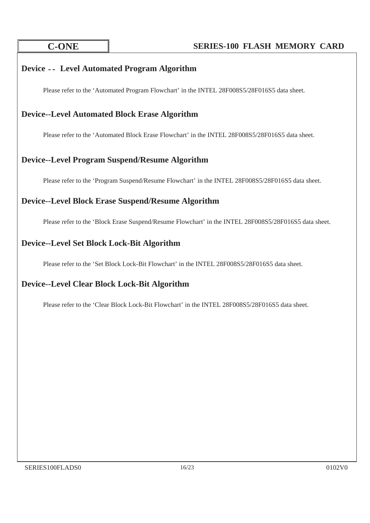# **Device** ..!**Level Automated Program Algorithm**

Please refer to the 'Automated Program Flowchart' in the INTEL 28F008S5/28F016S5 data sheet.

### **Device--Level Automated Block Erase Algorithm**

Please refer to the 'Automated Block Erase Flowchart' in the INTEL 28F008S5/28F016S5 data sheet.

# **Device--Level Program Suspend/Resume Algorithm**

Please refer to the 'Program Suspend/Resume Flowchart' in the INTEL 28F008S5/28F016S5 data sheet.

# **Device--Level Block Erase Suspend/Resume Algorithm**

Please refer to the 'Block Erase Suspend/Resume Flowchart' in the INTEL 28F008S5/28F016S5 data sheet.

### **Device--Level Set Block Lock-Bit Algorithm**

Please refer to the 'Set Block Lock-Bit Flowchart' in the INTEL 28F008S5/28F016S5 data sheet.

### **Device--Level Clear Block Lock-Bit Algorithm**

Please refer to the 'Clear Block Lock-Bit Flowchart' in the INTEL 28F008S5/28F016S5 data sheet.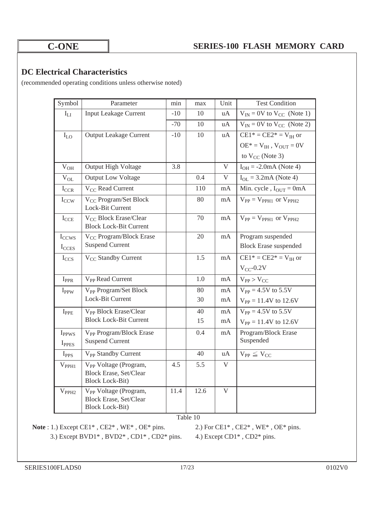### **DC Electrical Characteristics**

(recommended operating conditions unless otherwise noted)

| Symbol                     | Parameter                                                                                    | min   | max  | Unit        | <b>Test Condition</b>                             |
|----------------------------|----------------------------------------------------------------------------------------------|-------|------|-------------|---------------------------------------------------|
| $\mathbf{I}_{\text{LI}}$   | <b>Input Leakage Current</b>                                                                 | $-10$ | 10   | uA          | $V_{IN} = 0V$ to $V_{CC}$ (Note 1)                |
|                            |                                                                                              | $-70$ | 10   | uA          | $V_{IN} = 0V$ to $V_{CC}$ (Note 2)                |
| $I_{LO}$                   | <b>Output Leakage Current</b>                                                                | $-10$ | 10   | uA          | $CE1* = CE2* = VIH$ or                            |
|                            |                                                                                              |       |      |             | $OE^* = V_{IH}$ , $V_{OUT} = 0V$                  |
|                            |                                                                                              |       |      |             | to $V_{CC}$ (Note 3)                              |
| $\rm V_{OH}$               | Output High Voltage                                                                          | 3.8   |      | $\mathbf V$ | $I_{OH} = -2.0 \text{mA}$ (Note 4)                |
| $V_{OL}$                   | <b>Output Low Voltage</b>                                                                    |       | 0.4  | $\mathbf V$ | $I_{OL} = 3.2 \text{mA}$ (Note 4)                 |
| $I_{CCR}$                  | V <sub>CC</sub> Read Current                                                                 |       | 110  | mA          | Min. cycle, $I_{OUT} = 0mA$                       |
| $I_{CCW}$                  | V <sub>CC</sub> Program/Set Block<br>Lock-Bit Current                                        |       | 80   | mA          | $V_{PP} = V_{PPH1}$ or $V_{PPH2}$                 |
| $I_{CCE}$                  | V <sub>CC</sub> Block Erase/Clear<br><b>Block Lock-Bit Current</b>                           |       | 70   | mA          | $V_{PP} = V_{PPH1}$ or $V_{PPH2}$                 |
| I <sub>CCWS</sub><br>ICCES | V <sub>CC</sub> Program/Block Erase<br><b>Suspend Current</b>                                |       | 20   | mA          | Program suspended<br><b>Block Erase suspended</b> |
| $I_{CCS}$                  | V <sub>CC</sub> Standby Current                                                              |       | 1.5  | mA          | $CE1* = CE2* = V_{IH}$ or                         |
|                            |                                                                                              |       |      |             | $V_{CC}$ -0.2V                                    |
| $I_{PPR}$                  | V <sub>PP</sub> Read Current                                                                 |       | 1.0  | mA          | $V_{PP} > V_{CC}$                                 |
| I <sub>PPW</sub>           | V <sub>PP</sub> Program/Set Block                                                            |       | 80   | mA          | $V_{PP} = 4.5V$ to 5.5V                           |
|                            | Lock-Bit Current                                                                             |       | 30   | mA          | $V_{PP} = 11.4V$ to 12.6V                         |
| $I_{\rm PPE}$              | V <sub>PP</sub> Block Erase/Clear                                                            |       | 40   | mA          | $V_{PP} = 4.5V$ to 5.5V                           |
|                            | <b>Block Lock-Bit Current</b>                                                                |       | 15   | mA          | $V_{PP} = 11.4V$ to 12.6V                         |
| <b>I</b> <sub>PPWS</sub>   | V <sub>PP</sub> Program/Block Erase                                                          |       | 0.4  | mA          | Program/Block Erase                               |
| IPPES                      | <b>Suspend Current</b>                                                                       |       |      |             | Suspended                                         |
| I <sub>PPS</sub>           | V <sub>PP</sub> Standby Current                                                              |       | 40   | uA          | $V_{PP} \leq V_{CC}$                              |
| $V_{PPH1}$                 | V <sub>PP</sub> Voltage (Program,<br>Block Erase, Set/Clear<br><b>Block Lock-Bit)</b>        | 4.5   | 5.5  | V           |                                                   |
| $V_{PPH2}$                 | V <sub>PP</sub> Voltage (Program,<br><b>Block Erase, Set/Clear</b><br><b>Block Lock-Bit)</b> | 11.4  | 12.6 | $\mathbf V$ |                                                   |

Table 10

**Note** : 1.) Except CE1\*, CE2\*, WE\*, OE\* pins. 2.) For CE1\*, CE2\*, WE\*, OE\* pins. 3.) Except BVD1\* , BVD2\* , CD1\* , CD2\* pins. 4.) Except CD1\* , CD2\* pins.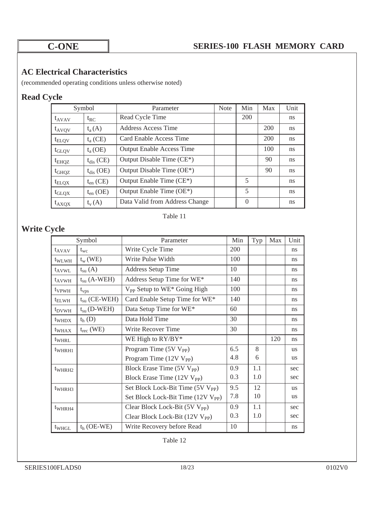# **AC Electrical Characteristics**

(recommended operating conditions unless otherwise noted)

# **Read Cycle**!

| Symbol            |                | Parameter                              | <b>Note</b> | Min      | Max | Unit |
|-------------------|----------------|----------------------------------------|-------------|----------|-----|------|
| $t_{AVAV}$        | $t_{RC}$       | Read Cycle Time                        |             | 200      |     | ns.  |
| $t_{AVQV}$        | $t_a(A)$       | Address Access Time                    |             |          | 200 | ns   |
| $t_{\text{ELQV}}$ | $t_a$ (CE)     | Card Enable Access Time                |             |          | 200 | ns.  |
| $t_{\text{GLQV}}$ | $t_a(OE)$      | <b>Output Enable Access Time</b>       |             |          | 100 | ns   |
| $t_{EHQZ}$        | $t_{dis}$ (CE) | Output Disable Time (CE <sup>*</sup> ) |             |          | 90  | ns   |
| $t_{GHQZ}$        | $t_{dis}$ (OE) | Output Disable Time (OE*)              |             |          | 90  | ns   |
| $t_{\text{ELQX}}$ | $t_{en}$ (CE)  | Output Enable Time (CE*)               |             | 5        |     | ns.  |
| $t_{\text{GLQX}}$ | $t_{en}$ (OE)  | Output Enable Time (OE*)               |             | 5        |     | ns   |
| $t_{AXQX}$        | $t_{v}(A)$     | Data Valid from Address Change         |             | $\theta$ |     | ns   |

### Table 11

# **Write Cycle**!

|                    | Symbol                | Parameter                                      | Min | Typ | Max | Unit      |
|--------------------|-----------------------|------------------------------------------------|-----|-----|-----|-----------|
| $t_{AVAV}$         | $t_{wc}$              | Write Cycle Time                               | 200 |     |     | ns        |
| t <sub>WLWH</sub>  | $t_w$ (WE)            | Write Pulse Width                              | 100 |     |     | ns        |
| $t_{AVWL}$         | $t_{\rm su}$ (A)      | <b>Address Setup Time</b>                      | 10  |     |     | ns        |
| $t_{AVWH}$         | $t_{su}$ (A-WEH)      | Address Setup Time for WE*                     | 140 |     |     | ns        |
| t <sub>VPWH</sub>  | $t_{vps}$             | V <sub>PP</sub> Setup to WE* Going High        | 100 |     |     | ns        |
| $t_{\text{ELWH}}$  | $t_{\rm su}$ (CE-WEH) | Card Enable Setup Time for WE*                 | 140 |     |     | ns        |
| t <sub>DVWH</sub>  | $t_{\rm su}$ (D-WEH)  | Data Setup Time for WE*                        | 60  |     |     | ns        |
| t <sub>WHDX</sub>  | $th$ (D)              | Data Hold Time                                 | 30  |     |     | ns        |
| t <sub>WHAX</sub>  | $t_{rec}$ (WE)        | <b>Write Recover Time</b>                      | 30  |     |     | ns        |
| twhrl              |                       | WE High to $RY/BY^*$                           |     |     | 120 | ns        |
| $t_{WHRH1}$        |                       | Program Time $(5V V_{PP})$                     | 6.5 | 8   |     | <b>us</b> |
|                    |                       | Program Time $(12V V_{PP})$                    | 4.8 | 6   |     | <b>us</b> |
| $t_{WHRH2}$        |                       | Block Erase Time (5V V <sub>PP</sub> )         | 0.9 | 1.1 |     | sec       |
|                    |                       | Block Erase Time (12V V <sub>PP</sub> )        | 0.3 | 1.0 |     | sec       |
| $t_{WHRH3}$        |                       | Set Block Lock-Bit Time (5V V <sub>PP</sub> )  | 9.5 | 12  |     | <b>us</b> |
|                    |                       | Set Block Lock-Bit Time (12V V <sub>PP</sub> ) | 7.8 | 10  |     | <b>us</b> |
| t <sub>WHRH4</sub> |                       | Clear Block Lock-Bit (5V V <sub>PP</sub> )     | 0.9 | 1.1 |     | sec       |
|                    |                       | Clear Block Lock-Bit $(12V V_{PP})$            | 0.3 | 1.0 |     | sec       |
| t <sub>WHGL</sub>  | $th$ (OE-WE)          | Write Recovery before Read                     | 10  |     |     | ns        |

Table 12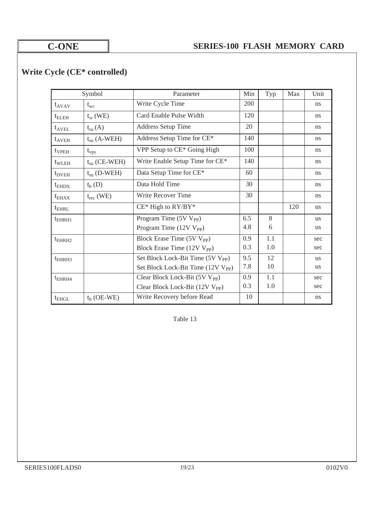# **Write Cycle (CE\* controlled)**!

|                    | Symbol                | Parameter                                      | Min | Typ | Max | Unit          |
|--------------------|-----------------------|------------------------------------------------|-----|-----|-----|---------------|
| $t_{AVAV}$         | $t_{wc}$              | Write Cycle Time                               | 200 |     |     | <sub>ns</sub> |
| $t_{\text{ELEH}}$  | $t_{w}$ (WE)          | Card Enable Pulse Width                        | 120 |     |     | ns            |
| $t_{AVEL}$         | $t_{\rm su}(A)$       | <b>Address Setup Time</b>                      | 20  |     |     | <sub>ns</sub> |
| $t_{AVEH}$         | $t_{su}$ (A-WEH)      | Address Setup Time for CE*                     | 140 |     |     | ns            |
| $t_{VPEH}$         | $t_{\rm vps}$         | VPP Setup to CE* Going High                    | 100 |     |     | ns            |
| $t_{WLEH}$         | $t_{\rm su}$ (CE-WEH) | Write Enable Setup Time for CE*                | 140 |     |     | <sub>ns</sub> |
| $t_{DVEH}$         | $t_{\rm su}$ (D-WEH)  | Data Setup Time for CE*                        | 60  |     |     | ns            |
| $t_{EHDX}$         | $t_{h}$ (D)           | Data Hold Time                                 | 30  |     |     | <sub>ns</sub> |
| $t_{\text{EHAV}}$  | $t_{rec}$ (WE)        | Write Recover Time                             | 30  |     |     | <sub>ns</sub> |
| $t_{EHRL}$         |                       | $CE*$ High to $RY/BY*$                         |     |     | 120 | ns            |
| $t_{EHRH1}$        |                       | Program Time (5V V <sub>PP</sub> )             | 6.5 | 8   |     | <b>us</b>     |
|                    |                       | Program Time (12V V <sub>PP</sub> )            | 4.8 | 6   |     | <b>us</b>     |
| t <sub>EHRH2</sub> |                       | Block Erase Time (5V V <sub>PP</sub> )         | 0.9 | 1.1 |     | sec           |
|                    |                       | Block Erase Time (12V V <sub>PP</sub> )        | 0.3 | 1.0 |     | sec           |
| $t_{EHRH3}$        |                       | Set Block Lock-Bit Time (5V V <sub>PP</sub> )  | 9.5 | 12  |     | <b>us</b>     |
|                    |                       | Set Block Lock-Bit Time (12V V <sub>PP</sub> ) | 7.8 | 10  |     | <b>us</b>     |
| $t_{EHRH4}$        |                       | Clear Block Lock-Bit (5V V <sub>PP</sub> )     | 0.9 | 1.1 |     | sec           |
|                    |                       | Clear Block Lock-Bit $(12V V_{PP})$            | 0.3 | 1.0 |     | sec           |
| $t_{EHGL}$         | $th$ (OE-WE)          | Write Recovery before Read                     | 10  |     |     | ns            |

Table 13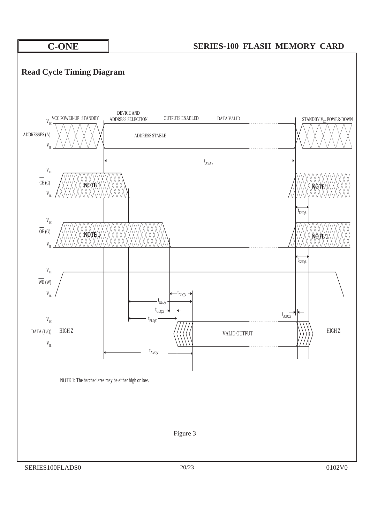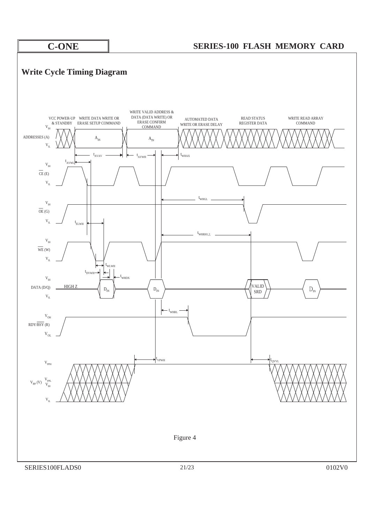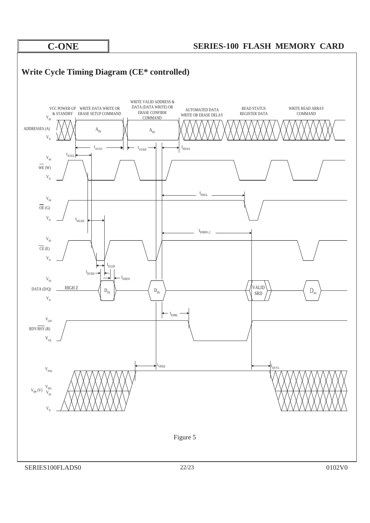